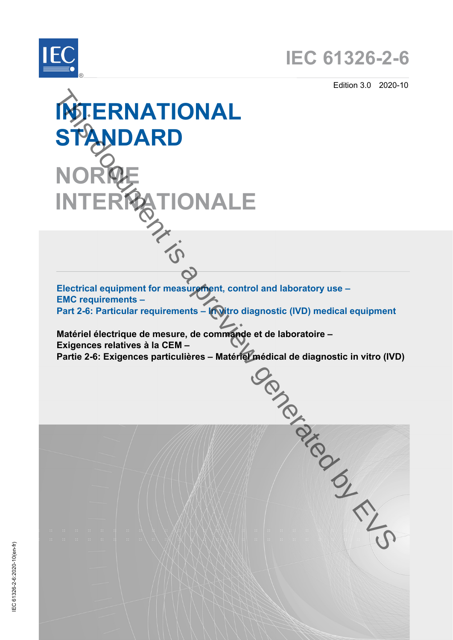



Edition 3.0 2020-10

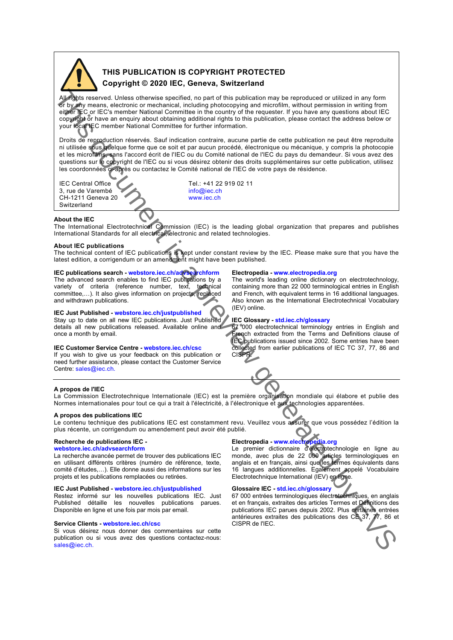

# **THIS PUBLICATION IS COPYRIGHT PROTECTED Copyright © 2020 IEC, Geneva, Switzerland**

All rights reserved. Unless otherwise specified, no part of this publication may be reproduced or utilized in any form or by any means, electronic or mechanical, including photocopying and microfilm, without permission in writing from either IEC or IEC's member National Committee in the country of the requester. If you have any questions about IEC copyright or have an enquiry about obtaining additional rights to this publication, please contact the address below or your local IEC member National Committee for further information. **Example 10** the three choices consider [a](https://webstore.iec.ch/advsearchform) pair of the pair is a pair of the pair of the interest of the consider a pair of the consider a pair of the consider a pair of the consider a pair of the consider a pair of the co

Droits de reproduction réservés. Sauf indication contraire, aucune partie de cette publication ne peut être reproduite ni utilisée sous quelque forme que ce soit et par aucun procédé, électronique ou mécanique, y compris la photocopie et les microfilms, sans l'accord écrit de l'IEC ou du Comité national de l'IEC du pays du demandeur. Si vous avez des questions sur le copyright de l'IEC ou si vous désirez obtenir des droits supplémentaires sur cette publication, utilisez les coordonnées ci-après ou contactez le Comité national de l'IEC de votre pays de résidence.

IEC Central Office  $\begin{array}{ccc} \text{TEL: +41 22 919 02 11} \\ \text{3, rule de Varenbé} \end{array}$ 3, rue de Varembé<br>
CH-1211 Geneva 20<br>
The Society of the WWW.iec.ch CH-1211 Geneva 20 Switzerland

#### **About the IEC**

The International Electrotechnical Commission (IEC) is the leading global organization that prepares and publishes International Standards for all electrical, electronic and related technologies.

### **About IEC publications**

The technical content of IEC publications is kept under constant review by the IEC. Please make sure that you have the latest edition, a corrigendum or an amendment might have been published.

#### **IEC publications search - webstore.iec.ch/advsearchform**

The advanced search enables to find IEC publications by a<br>variety of criteria (reference number, text, technical variety of criteria (reference number, text, committee,…). It also gives information on projects, replaced and withdrawn publications.

**IEC Just Published - webstore.iec.ch/justpublished**<br>Stay up to date on all new IEC publications. Just Published Stay up to date on all new IEC publications. Just Published details all new publications released. Available online and once a month by email.

### **IEC Customer Service Centre - webstore.iec.ch/csc**

If you wish to give us your feedback on this publication or need further assistance, please contact the Customer Service Centre: sales@iec.ch.

#### **Electropedia - www.electropedia.org**

The world's leading online dictionary on electrotechnology, containing more than 22 000 terminological entries in English and French, with equivalent terms in 16 additional languages. Also known as the International Electrotechnical Vocabulary (IEV) online.

#### **IEC Glossary - std.iec.ch/glossary**

67 000 electrotechnical terminology entries in English and French extracted from the Terms and Definitions clause of IEC publications issued since 2002. Some entries have been collected from earlier publications of IEC TC 37, 77, 86 and CISPR.

#### **A propos de l'IEC**

La Commission Electrotechnique Internationale (IEC) est la première organisation mondiale qui élabore et publie des Normes internationales pour tout ce qui a trait à l'électricité, à l'électronique et aux technologies apparentées.

#### **A propos des publications IEC**

Le contenu technique des publications IEC est constamment revu. Veuillez vous assurer que vous possédez l'édition la plus récente, un corrigendum ou amendement peut avoir été publié.

### **Recherche de publications IEC -**

#### **webstore.iec.ch/advsearchform**

La recherche avancée permet de trouver des publications IEC en utilisant différents critères (numéro de référence, texte, comité d'études,…). Elle donne aussi des informations sur les projets et les publications remplacées ou retirées.

### **IEC Just Published - webstore.iec.ch/justpublished**

Restez informé sur les nouvelles publications IEC. Just Published détaille les nouvelles publications parues. Disponible en ligne et une fois par mois par email.

#### **Service Clients - webstore.iec.ch/csc**

Si vous désirez nous donner des commentaires sur cette publication ou si vous avez des questions contactez-nous: sales@iec.ch.

#### **Electropedia - www.electropedia.org**

Le premier dictionnaire d'électrotechnologie en ligne au monde, avec plus de 22 000 articles terminologiques en anglais et en français, ainsi que les termes équivalents dans 16 langues additionnelles. Egalement appelé Vocabulaire Electrotechnique International (IEV) en ligne.

#### **Glossaire IEC - std.iec.ch/glossary**

67 000 entrées terminologiques électrotechniques, en anglais et en français, extraites des articles Termes et Définitions des publications IEC parues depuis 2002. Plus certaines entrées antérieures extraites des publications des CE 37, 77, 86 et CISPR de l'IEC.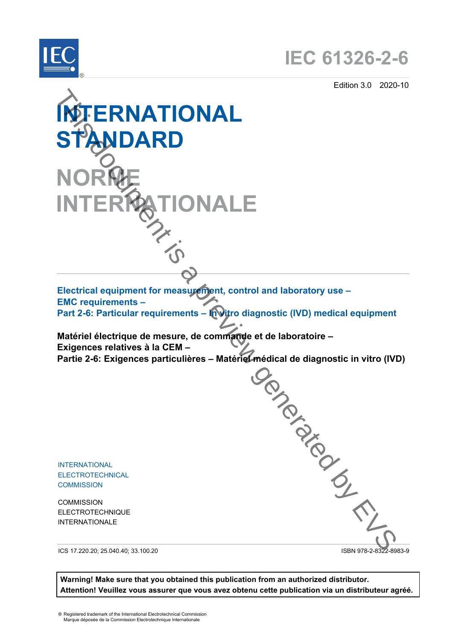

Edition 3.0 2020-10





**Warning! Make sure that you obtained this publication from an authorized distributor. Attention! Veuillez vous assurer que vous avez obtenu cette publication via un distributeur agréé.**

® Registered trademark of the International Electrotechnical Commission Marque déposée de la Commission Electrotechnique Internationale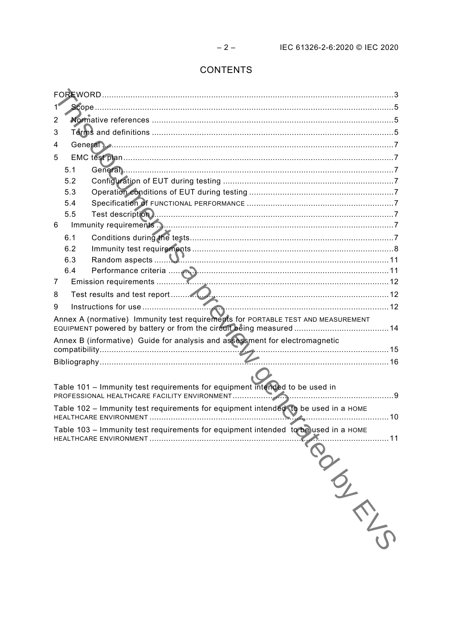# CONTENTS

| 2                                                                                  |     |  |  |  |  |
|------------------------------------------------------------------------------------|-----|--|--|--|--|
| 3                                                                                  |     |  |  |  |  |
| 4                                                                                  |     |  |  |  |  |
| 5                                                                                  |     |  |  |  |  |
|                                                                                    | 5.1 |  |  |  |  |
|                                                                                    | 5.2 |  |  |  |  |
|                                                                                    | 5.3 |  |  |  |  |
|                                                                                    | 5.4 |  |  |  |  |
|                                                                                    | 5.5 |  |  |  |  |
| 6                                                                                  |     |  |  |  |  |
|                                                                                    | 6.1 |  |  |  |  |
|                                                                                    | 6.2 |  |  |  |  |
|                                                                                    | 6.3 |  |  |  |  |
|                                                                                    | 6.4 |  |  |  |  |
| 7                                                                                  |     |  |  |  |  |
| 8                                                                                  |     |  |  |  |  |
| 9                                                                                  |     |  |  |  |  |
| Annex A (normative) Immunity test requirements for PORTABLE TEST AND MEASUREMENT   |     |  |  |  |  |
| Annex B (informative) Guide for analysis and assessment for electromagnetic        |     |  |  |  |  |
|                                                                                    |     |  |  |  |  |
|                                                                                    |     |  |  |  |  |
|                                                                                    |     |  |  |  |  |
| Table 101 - Immunity test requirements for equipment intended to be used in        |     |  |  |  |  |
| Table 102 - Immunity test requirements for equipment intended to be used in a HOME |     |  |  |  |  |
| Table 103 - Immunity test requirements for equipment intended to be used in a HOME |     |  |  |  |  |
| 11                                                                                 |     |  |  |  |  |
|                                                                                    |     |  |  |  |  |
|                                                                                    |     |  |  |  |  |
|                                                                                    |     |  |  |  |  |
|                                                                                    |     |  |  |  |  |
|                                                                                    |     |  |  |  |  |
|                                                                                    |     |  |  |  |  |
|                                                                                    |     |  |  |  |  |
|                                                                                    |     |  |  |  |  |
|                                                                                    |     |  |  |  |  |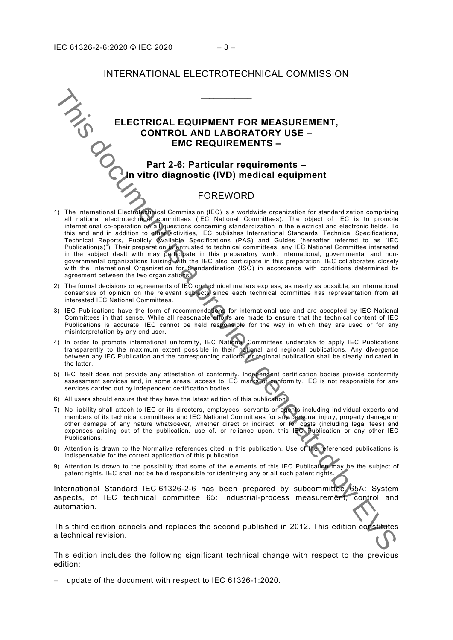## INTERNATIONAL ELECTROTECHNICAL COMMISSION

\_\_\_\_\_\_\_\_\_\_\_\_

# **ELECTRICAL EQUIPMENT FOR MEASUREMENT, CONTROL AND LABORATORY USE – EMC REQUIREMENTS –**

# <span id="page-4-0"></span>**Part 2-6: Particular requirements – In vitro diagnostic (IVD) medical equipment**

# FOREWORD

- 1) The International Electrotechnical Commission (IEC) is a worldwide organization for standardization comprising all national electrotechnical committees (IEC National Committees). The object of IEC is to promote international co-operation on all questions concerning standardization in the electrical and electronic fields. To this end and in addition to other activities, IEC publishes International Standards, Technical Specifications, Technical Reports, Publicly Available Specifications (PAS) and Guides (hereafter referred to as "IEC Publication(s)"). Their preparation is entrusted to technical committees; any IEC National Committee interested in the subject dealt with may participate in this preparatory work. International, governmental and nongovernmental organizations liaising with the IEC also participate in this preparation. IEC collaborates closely with the International Organization for Standardization (ISO) in accordance with conditions determined by agreement between the two organizations. This document is a preview generated by EVS
- 2) The formal decisions or agreements of IEC on technical matters express, as nearly as possible, an international consensus of opinion on the relevant subjects since each technical committee has representation from all interested IEC National Committees.
- 3) IEC Publications have the form of recommendations for international use and are accepted by IEC National Committees in that sense. While all reasonable efforts are made to ensure that the technical content of IEC Publications is accurate, IEC cannot be held responsible for the way in which they are used or for any misinterpretation by any end user.
- 4) In order to promote international uniformity, IEC National Committees undertake to apply IEC Publications transparently to the maximum extent possible in their national and regional publications. Any divergence between any IEC Publication and the corresponding national or regional publication shall be clearly indicated in the latter.
- 5) IEC itself does not provide any attestation of conformity. Independent certification bodies provide conformity assessment services and, in some areas, access to IEC marks of conformity. IEC is not responsible for any services carried out by independent certification bodies.
- 6) All users should ensure that they have the latest edition of this publication.
- 7) No liability shall attach to IEC or its directors, employees, servants or agents including individual experts and members of its technical committees and IEC National Committees for any personal injury, property damage or other damage of any nature whatsoever, whether direct or indirect, or for costs (including legal fees) and expenses arising out of the publication, use of, or reliance upon, this IEC Publication or any other IEC Publications.
- 8) Attention is drawn to the Normative references cited in this publication. Use of the referenced publications is indispensable for the correct application of this publication.
- 9) Attention is drawn to the possibility that some of the elements of this IEC Publication may be the subject of patent rights. IEC shall not be held responsible for identifying any or all such patent rights.

International Standard IEC 61326-2-6 has been prepared by subcommittee 65A: System aspects, of IEC technical committee 65: Industrial-process measurement, control and automation.

This third edition cancels and replaces the second published in 2012. This edition constitutes a technical revision.

This edition includes the following significant technical change with respect to the previous edition:

– update of the document with respect to IEC 61326-1:2020.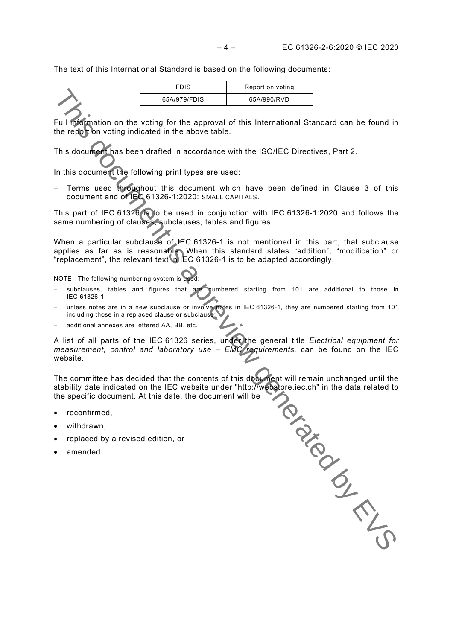The text of this International Standard is based on the following documents:

| <b>FDIS</b>  | Report on voting |
|--------------|------------------|
| 65A/979/FDIS | 65A/990/RVD      |
|              |                  |

Full information on the voting for the approval of this International Standard can be found in the report on voting indicated in the above table.

This document has been drafted in accordance with the ISO/IEC Directives, Part 2.

In this document the following print types are used:

– Terms used throughout this document which have been defined in Clause 3 of this document and of IEC 61326-1:2020: SMALL CAPITALS.

This part of IEC 61326 is to be used in conjunction with IEC 61326-1:2020 and follows the same numbering of clauses, subclauses, tables and figures.

When a particular subclause of IEC 61326-1 is not mentioned in this part, that subclause applies as far as is reasonable. When this standard states "addition", "modification" or "replacement", the relevant text in IEC 61326-1 is to be adapted accordingly.

NOTE The following numbering system is used:

- subclauses, tables and figures that are numbered starting from 101 are additional to those in IEC 61326-1;
- unless notes are in a new subclause or involve notes in IEC 61326-1, they are numbered starting from 101 including those in a replaced clause or subclause;
- additional annexes are lettered AA, BB, etc.

A list of all parts of the IEC 61326 series, under the general title *Electrical equipment for measurement, control and laboratory use – EMC requirements,* can be found on the IEC website.

The committee has decided that the contents of this document will remain unchanged until the stability date indicated on the IEC website under "http://webstore.iec.ch" in the data related to the specific document. At this date, the document will be This document is a preview

- reconfirmed,
- withdrawn,
- replaced by a revised edition, or
- amended.